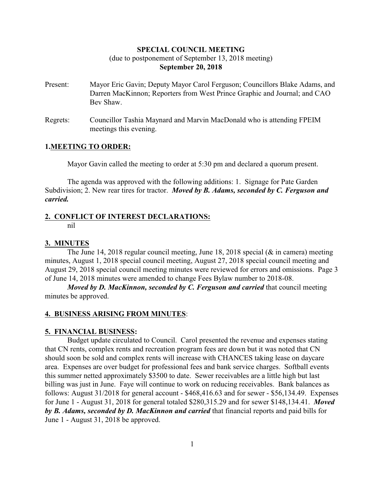## **SPECIAL COUNCIL MEETING**

## (due to postponement of September 13, 2018 meeting) **September 20, 2018**

- Present: Mayor Eric Gavin; Deputy Mayor Carol Ferguson; Councillors Blake Adams, and Darren MacKinnon; Reporters from West Prince Graphic and Journal; and CAO Bev Shaw.
- Regrets: Councillor Tashia Maynard and Marvin MacDonald who is attending FPEIM meetings this evening.

## **1.MEETING TO ORDER:**

Mayor Gavin called the meeting to order at 5:30 pm and declared a quorum present.

The agenda was approved with the following additions: 1. Signage for Pate Garden Subdivision; 2. New rear tires for tractor. *Moved by B. Adams, seconded by C. Ferguson and carried.*

## **2. CONFLICT OF INTEREST DECLARATIONS:**

nil

## **3. MINUTES**

The June 14, 2018 regular council meeting, June 18, 2018 special (& in camera) meeting minutes, August 1, 2018 special council meeting, August 27, 2018 special council meeting and August 29, 2018 special council meeting minutes were reviewed for errors and omissions. Page 3 of June 14, 2018 minutes were amended to change Fees Bylaw number to 2018-08.

*Moved by D. MacKinnon, seconded by C. Ferguson and carried that council meeting* minutes be approved.

## **4. BUSINESS ARISING FROM MINUTES**:

### **5. FINANCIAL BUSINESS:**

Budget update circulated to Council. Carol presented the revenue and expenses stating that CN rents, complex rents and recreation program fees are down but it was noted that CN should soon be sold and complex rents will increase with CHANCES taking lease on daycare area. Expenses are over budget for professional fees and bank service charges. Softball events this summer netted approximately \$3500 to date. Sewer receivables are a little high but last billing was just in June. Faye will continue to work on reducing receivables. Bank balances as follows: August 31/2018 for general account - \$468,416.63 and for sewer - \$56,134.49. Expenses for June 1 - August 31, 2018 for general totaled \$280,315.29 and for sewer \$148,134.41. *Moved by B. Adams, seconded by D. MacKinnon and carried* that financial reports and paid bills for June 1 - August 31, 2018 be approved.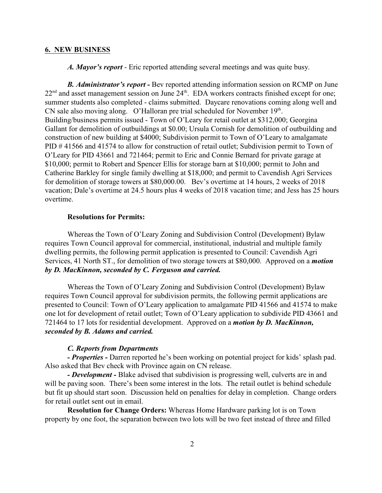### **6. NEW BUSINESS**

*A. Mayor's report* - Eric reported attending several meetings and was quite busy.

*B. Administrator's report -* Bev reported attending information session on RCMP on June 22<sup>nd</sup> and asset management session on June 24<sup>th</sup>. EDA workers contracts finished except for one; summer students also completed - claims submitted. Daycare renovations coming along well and CN sale also moving along. O'Halloran pre trial scheduled for November 19th. Building/business permits issued - Town of O'Leary for retail outlet at \$312,000; Georgina Gallant for demolition of outbuildings at \$0.00; Ursula Cornish for demolition of outbuilding and construction of new building at \$4000; Subdivision permit to Town of O'Leary to amalgamate PID #41566 and 41574 to allow for construction of retail outlet; Subdivision permit to Town of O'Leary for PID 43661 and 721464; permit to Eric and Connie Bernard for private garage at \$10,000; permit to Robert and Spencer Ellis for storage barn at \$10,000; permit to John and Catherine Barkley for single family dwelling at \$18,000; and permit to Cavendish Agri Services for demolition of storage towers at \$80,000.00. Bev's overtime at 14 hours, 2 weeks of 2018 vacation; Dale's overtime at 24.5 hours plus 4 weeks of 2018 vacation time; and Jess has 25 hours overtime.

## **Resolutions for Permits:**

Whereas the Town of O'Leary Zoning and Subdivision Control (Development) Bylaw requires Town Council approval for commercial, institutional, industrial and multiple family dwelling permits, the following permit application is presented to Council: Cavendish Agri Services, 41 North ST., for demolition of two storage towers at \$80,000. Approved on a *motion by D. MacKinnon, seconded by C. Ferguson and carried.*

Whereas the Town of O'Leary Zoning and Subdivision Control (Development) Bylaw requires Town Council approval for subdivision permits, the following permit applications are presented to Council: Town of O'Leary application to amalgamate PID 41566 and 41574 to make one lot for development of retail outlet; Town of O'Leary application to subdivide PID 43661 and 721464 to 17 lots for residential development. Approved on a *motion by D. MacKinnon, seconded by B. Adams and carried.*

## *C. Reports from Departments*

*- Properties -* Darren reported he's been working on potential project for kids' splash pad. Also asked that Bev check with Province again on CN release.

*- Development -* Blake advised that subdivision is progressing well, culverts are in and will be paving soon. There's been some interest in the lots. The retail outlet is behind schedule but fit up should start soon. Discussion held on penalties for delay in completion. Change orders for retail outlet sent out in email.

**Resolution for Change Orders:** Whereas Home Hardware parking lot is on Town property by one foot, the separation between two lots will be two feet instead of three and filled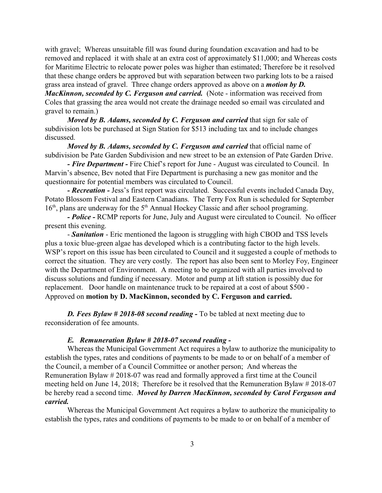with gravel; Whereas unsuitable fill was found during foundation excavation and had to be removed and replaced it with shale at an extra cost of approximately \$11,000; and Whereas costs for Maritime Electric to relocate power poles was higher than estimated; Therefore be it resolved that these change orders be approved but with separation between two parking lots to be a raised grass area instead of gravel. Three change orders approved as above on a *motion by D. MacKinnon, seconded by C. Ferguson and carried.* (Note - information was received from Coles that grassing the area would not create the drainage needed so email was circulated and gravel to remain.)

*Moved by B. Adams, seconded by C. Ferguson and carried* that sign for sale of subdivision lots be purchased at Sign Station for \$513 including tax and to include changes discussed.

*Moved by B. Adams, seconded by C. Ferguson and carried* that official name of subdivision be Pate Garden Subdivision and new street to be an extension of Pate Garden Drive.

*- Fire Department -* Fire Chief's report for June - August was circulated to Council. In Marvin's absence, Bev noted that Fire Department is purchasing a new gas monitor and the questionnaire for potential members was circulated to Council.

*- Recreation -* Jess's first report was circulated. Successful events included Canada Day, Potato Blossom Festival and Eastern Canadians. The Terry Fox Run is scheduled for September 16<sup>th</sup>, plans are underway for the 5<sup>th</sup> Annual Hockey Classic and after school programing.

*- Police -* RCMP reports for June, July and August were circulated to Council. No officer present this evening.

- *Sanitation* - Eric mentioned the lagoon is struggling with high CBOD and TSS levels plus a toxic blue-green algae has developed which is a contributing factor to the high levels. WSP's report on this issue has been circulated to Council and it suggested a couple of methods to correct the situation. They are very costly. The report has also been sent to Morley Foy, Engineer with the Department of Environment. A meeting to be organized with all parties involved to discuss solutions and funding if necessary. Motor and pump at lift station is possibly due for replacement. Door handle on maintenance truck to be repaired at a cost of about \$500 - Approved on **motion by D. MacKinnon, seconded by C. Ferguson and carried.**

*D. Fees Bylaw # 2018-08 second reading -* To be tabled at next meeting due to reconsideration of fee amounts.

#### *E. Remuneration Bylaw # 2018-07 second reading -*

Whereas the Municipal Government Act requires a bylaw to authorize the municipality to establish the types, rates and conditions of payments to be made to or on behalf of a member of the Council, a member of a Council Committee or another person; And whereas the Remuneration Bylaw # 2018-07 was read and formally approved a first time at the Council meeting held on June 14, 2018; Therefore be it resolved that the Remuneration Bylaw # 2018-07 be hereby read a second time. *Moved by Darren MacKinnon, seconded by Carol Ferguson and carried.*

Whereas the Municipal Government Act requires a bylaw to authorize the municipality to establish the types, rates and conditions of payments to be made to or on behalf of a member of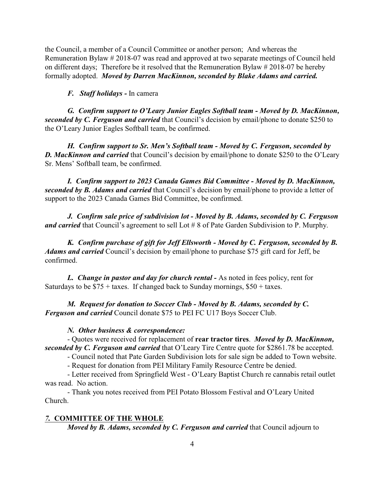the Council, a member of a Council Committee or another person; And whereas the Remuneration Bylaw # 2018-07 was read and approved at two separate meetings of Council held on different days; Therefore be it resolved that the Remuneration Bylaw # 2018-07 be hereby formally adopted. *Moved by Darren MacKinnon, seconded by Blake Adams and carried.*

### *F. Staff holidays -* In camera

*G. Confirm support to O'Leary Junior Eagles Softball team - Moved by D. MacKinnon, seconded by C. Ferguson and carried* that Council's decision by email/phone to donate \$250 to the O'Leary Junior Eagles Softball team, be confirmed.

*H. Confirm support to Sr. Men's Softball team - Moved by C. Ferguson, seconded by D. MacKinnon and carried* that Council's decision by email/phone to donate \$250 to the O'Leary Sr. Mens' Softball team, be confirmed.

*I. Confirm support to 2023 Canada Games Bid Committee - Moved by D. MacKinnon, seconded by B. Adams and carried* that Council's decision by email/phone to provide a letter of support to the 2023 Canada Games Bid Committee, be confirmed.

*J. Confirm sale price of subdivision lot - Moved by B. Adams, seconded by C. Ferguson and carried* that Council's agreement to sell Lot # 8 of Pate Garden Subdivision to P. Murphy.

*K. Confirm purchase of gift for Jeff Ellsworth - Moved by C. Ferguson, seconded by B. Adams and carried* Council's decision by email/phone to purchase \$75 gift card for Jeff, be confirmed.

*L. Change in pastor and day for church rental -* As noted in fees policy, rent for Saturdays to be  $$75 + \text{taxes}$ . If changed back to Sunday mornings,  $$50 + \text{taxes}$ .

*M. Request for donation to Soccer Club - Moved by B. Adams, seconded by C. Ferguson and carried* Council donate \$75 to PEI FC U17 Boys Soccer Club.

#### *N. Other business & correspondence:*

- Quotes were received for replacement of **rear tractor tires**. *Moved by D. MacKinnon, seconded by C. Ferguson and carried* that O'Leary Tire Centre quote for \$2861.78 be accepted.

- Council noted that Pate Garden Subdivision lots for sale sign be added to Town website.

- Request for donation from PEI Military Family Resource Centre be denied.

- Letter received from Springfield West - O'Leary Baptist Church re cannabis retail outlet was read. No action.

- Thank you notes received from PEI Potato Blossom Festival and O'Leary United Church.

## *7.* **COMMITTEE OF THE WHOLE**

*Moved by B. Adams, seconded by C. Ferguson and carried that Council adjourn to*